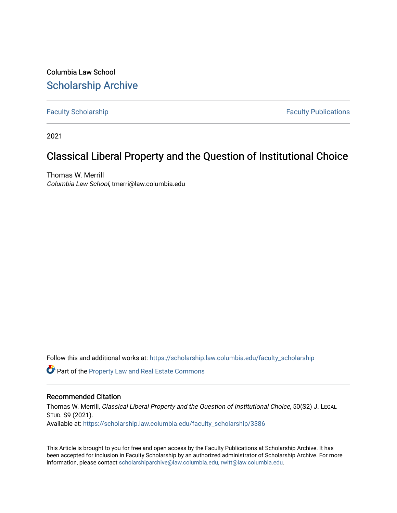Columbia Law School [Scholarship Archive](https://scholarship.law.columbia.edu/) 

[Faculty Scholarship](https://scholarship.law.columbia.edu/faculty_scholarship) **Faculty Scholarship Faculty Publications** 

2021

# Classical Liberal Property and the Question of Institutional Choice

Thomas W. Merrill Columbia Law School, tmerri@law.columbia.edu

Follow this and additional works at: [https://scholarship.law.columbia.edu/faculty\\_scholarship](https://scholarship.law.columbia.edu/faculty_scholarship?utm_source=scholarship.law.columbia.edu%2Ffaculty_scholarship%2F3386&utm_medium=PDF&utm_campaign=PDFCoverPages)

**C** Part of the Property Law and Real Estate Commons

## Recommended Citation

Thomas W. Merrill, Classical Liberal Property and the Question of Institutional Choice, 50(S2) J. LEGAL STUD. S9 (2021). Available at: [https://scholarship.law.columbia.edu/faculty\\_scholarship/3386](https://scholarship.law.columbia.edu/faculty_scholarship/3386?utm_source=scholarship.law.columbia.edu%2Ffaculty_scholarship%2F3386&utm_medium=PDF&utm_campaign=PDFCoverPages)

This Article is brought to you for free and open access by the Faculty Publications at Scholarship Archive. It has been accepted for inclusion in Faculty Scholarship by an authorized administrator of Scholarship Archive. For more information, please contact [scholarshiparchive@law.columbia.edu, rwitt@law.columbia.edu](mailto:scholarshiparchive@law.columbia.edu,%20rwitt@law.columbia.edu).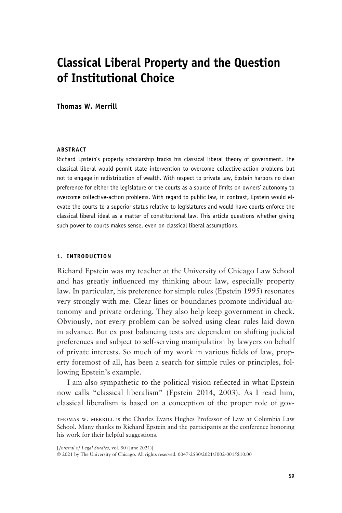## **Classical Liberal Property and the Question of Institutional Choice**

**Thomas W. Merrill**

## **ABSTRACT**

Richard Epstein's property scholarship tracks his classical liberal theory of government. The classical liberal would permit state intervention to overcome collective-action problems but not to engage in redistribution of wealth. With respect to private law, Epstein harbors no clear preference for either the legislature or the courts as a source of limits on owners' autonomy to overcome collective-action problems. With regard to public law, in contrast, Epstein would elevate the courts to a superior status relative to legislatures and would have courts enforce the classical liberal ideal as a matter of constitutional law. This article questions whether giving such power to courts makes sense, even on classical liberal assumptions.

## **1. INTRODUCTION**

Richard Epstein was my teacher at the University of Chicago Law School and has greatly influenced my thinking about law, especially property law. In particular, his preference for simple rules (Epstein 1995) resonates very strongly with me. Clear lines or boundaries promote individual autonomy and private ordering. They also help keep government in check. Obviously, not every problem can be solved using clear rules laid down in advance. But ex post balancing tests are dependent on shifting judicial preferences and subject to self-serving manipulation by lawyers on behalf of private interests. So much of my work in various fields of law, property foremost of all, has been a search for simple rules or principles, following Epstein's example.

I am also sympathetic to the political vision reflected in what Epstein now calls "classical liberalism" (Epstein 2014, 2003). As I read him, classical liberalism is based on a conception of the proper role of gov-

thomas w. merrill is the Charles Evans Hughes Professor of Law at Columbia Law School. Many thanks to Richard Epstein and the participants at the conference honoring his work for their helpful suggestions.

[*Journal of Legal Studies*, vol. 50 (June 2021)] © 2021 by The University of Chicago. All rights reserved. 0047-2530/2021/5002-0015\$10.00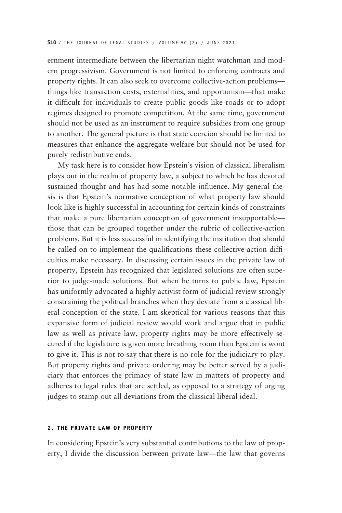ernment intermediate between the libertarian night watchman and modern progressivism. Government is not limited to enforcing contracts and property rights. It can also seek to overcome collective-action problems things like transaction costs, externalities, and opportunism—that make it difficult for individuals to create public goods like roads or to adopt regimes designed to promote competition. At the same time, government should not be used as an instrument to require subsidies from one group to another. The general picture is that state coercion should be limited to measures that enhance the aggregate welfare but should not be used for purely redistributive ends.

My task here is to consider how Epstein's vision of classical liberalism plays out in the realm of property law, a subject to which he has devoted sustained thought and has had some notable influence. My general thesis is that Epstein's normative conception of what property law should look like is highly successful in accounting for certain kinds of constraints that make a pure libertarian conception of government insupportable those that can be grouped together under the rubric of collective-action problems. But it is less successful in identifying the institution that should be called on to implement the qualifications these collective-action difficulties make necessary. In discussing certain issues in the private law of property, Epstein has recognized that legislated solutions are often superior to judge-made solutions. But when he turns to public law, Epstein has uniformly advocated a highly activist form of judicial review strongly constraining the political branches when they deviate from a classical liberal conception of the state. I am skeptical for various reasons that this expansive form of judicial review would work and argue that in public law as well as private law, property rights may be more effectively secured if the legislature is given more breathing room than Epstein is wont to give it. This is not to say that there is no role for the judiciary to play. But property rights and private ordering may be better served by a judiciary that enforces the primacy of state law in matters of property and adheres to legal rules that are settled, as opposed to a strategy of urging judges to stamp out all deviations from the classical liberal ideal.

#### **2. THE PRIVATE LAW OF PROPERTY**

In considering Epstein's very substantial contributions to the law of property, I divide the discussion between private law—the law that governs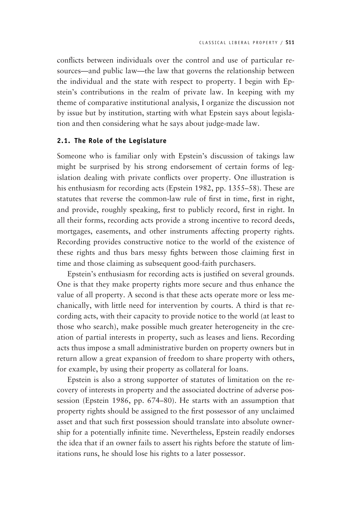conflicts between individuals over the control and use of particular resources—and public law—the law that governs the relationship between the individual and the state with respect to property. I begin with Epstein's contributions in the realm of private law. In keeping with my theme of comparative institutional analysis, I organize the discussion not by issue but by institution, starting with what Epstein says about legislation and then considering what he says about judge-made law.

## **2.1. The Role of the Legislature**

Someone who is familiar only with Epstein's discussion of takings law might be surprised by his strong endorsement of certain forms of legislation dealing with private conflicts over property. One illustration is his enthusiasm for recording acts (Epstein 1982, pp. 1355–58). These are statutes that reverse the common-law rule of first in time, first in right, and provide, roughly speaking, first to publicly record, first in right. In all their forms, recording acts provide a strong incentive to record deeds, mortgages, easements, and other instruments affecting property rights. Recording provides constructive notice to the world of the existence of these rights and thus bars messy fights between those claiming first in time and those claiming as subsequent good-faith purchasers.

Epstein's enthusiasm for recording acts is justified on several grounds. One is that they make property rights more secure and thus enhance the value of all property. A second is that these acts operate more or less mechanically, with little need for intervention by courts. A third is that recording acts, with their capacity to provide notice to the world (at least to those who search), make possible much greater heterogeneity in the creation of partial interests in property, such as leases and liens. Recording acts thus impose a small administrative burden on property owners but in return allow a great expansion of freedom to share property with others, for example, by using their property as collateral for loans.

Epstein is also a strong supporter of statutes of limitation on the recovery of interests in property and the associated doctrine of adverse possession (Epstein 1986, pp. 674–80). He starts with an assumption that property rights should be assigned to the first possessor of any unclaimed asset and that such first possession should translate into absolute ownership for a potentially infinite time. Nevertheless, Epstein readily endorses the idea that if an owner fails to assert his rights before the statute of limitations runs, he should lose his rights to a later possessor.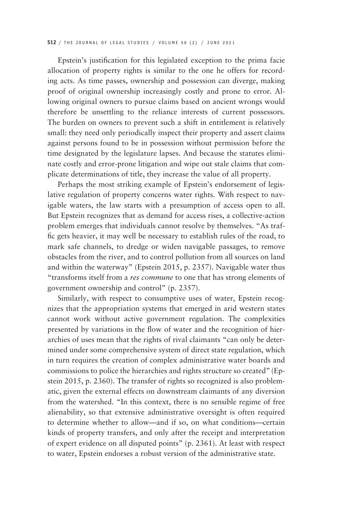Epstein's justification for this legislated exception to the prima facie allocation of property rights is similar to the one he offers for recording acts. As time passes, ownership and possession can diverge, making proof of original ownership increasingly costly and prone to error. Allowing original owners to pursue claims based on ancient wrongs would therefore be unsettling to the reliance interests of current possessors. The burden on owners to prevent such a shift in entitlement is relatively small: they need only periodically inspect their property and assert claims against persons found to be in possession without permission before the time designated by the legislature lapses. And because the statutes eliminate costly and error-prone litigation and wipe out stale claims that complicate determinations of title, they increase the value of all property.

Perhaps the most striking example of Epstein's endorsement of legislative regulation of property concerns water rights. With respect to navigable waters, the law starts with a presumption of access open to all. But Epstein recognizes that as demand for access rises, a collective-action problem emerges that individuals cannot resolve by themselves. "As traffic gets heavier, it may well be necessary to establish rules of the road, to mark safe channels, to dredge or widen navigable passages, to remove obstacles from the river, and to control pollution from all sources on land and within the waterway" (Epstein 2015, p. 2357). Navigable water thus "transforms itself from a *res commune* to one that has strong elements of government ownership and control" (p. 2357).

Similarly, with respect to consumptive uses of water, Epstein recognizes that the appropriation systems that emerged in arid western states cannot work without active government regulation. The complexities presented by variations in the flow of water and the recognition of hierarchies of uses mean that the rights of rival claimants "can only be determined under some comprehensive system of direct state regulation, which in turn requires the creation of complex administrative water boards and commissions to police the hierarchies and rights structure so created" (Epstein 2015, p. 2360). The transfer of rights so recognized is also problematic, given the external effects on downstream claimants of any diversion from the watershed. "In this context, there is no sensible regime of free alienability, so that extensive administrative oversight is often required to determine whether to allow—and if so, on what conditions—certain kinds of property transfers, and only after the receipt and interpretation of expert evidence on all disputed points" (p. 2361). At least with respect to water, Epstein endorses a robust version of the administrative state.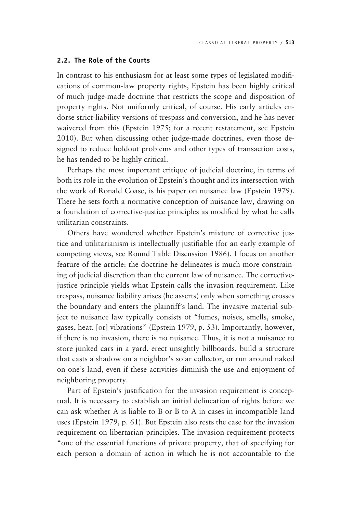## **2.2. The Role of the Courts**

In contrast to his enthusiasm for at least some types of legislated modifications of common-law property rights, Epstein has been highly critical of much judge-made doctrine that restricts the scope and disposition of property rights. Not uniformly critical, of course. His early articles endorse strict-liability versions of trespass and conversion, and he has never waivered from this (Epstein 1975; for a recent restatement, see Epstein 2010). But when discussing other judge-made doctrines, even those designed to reduce holdout problems and other types of transaction costs, he has tended to be highly critical.

Perhaps the most important critique of judicial doctrine, in terms of both its role in the evolution of Epstein's thought and its intersection with the work of Ronald Coase, is his paper on nuisance law (Epstein 1979). There he sets forth a normative conception of nuisance law, drawing on a foundation of corrective-justice principles as modified by what he calls utilitarian constraints.

Others have wondered whether Epstein's mixture of corrective justice and utilitarianism is intellectually justifiable (for an early example of competing views, see Round Table Discussion 1986). I focus on another feature of the article: the doctrine he delineates is much more constraining of judicial discretion than the current law of nuisance. The correctivejustice principle yields what Epstein calls the invasion requirement. Like trespass, nuisance liability arises (he asserts) only when something crosses the boundary and enters the plaintiff's land. The invasive material subject to nuisance law typically consists of "fumes, noises, smells, smoke, gases, heat, [or] vibrations" (Epstein 1979, p. 53). Importantly, however, if there is no invasion, there is no nuisance. Thus, it is not a nuisance to store junked cars in a yard, erect unsightly billboards, build a structure that casts a shadow on a neighbor's solar collector, or run around naked on one's land, even if these activities diminish the use and enjoyment of neighboring property.

Part of Epstein's justification for the invasion requirement is conceptual. It is necessary to establish an initial delineation of rights before we can ask whether A is liable to B or B to A in cases in incompatible land uses (Epstein 1979, p. 61). But Epstein also rests the case for the invasion requirement on libertarian principles. The invasion requirement protects "one of the essential functions of private property, that of specifying for each person a domain of action in which he is not accountable to the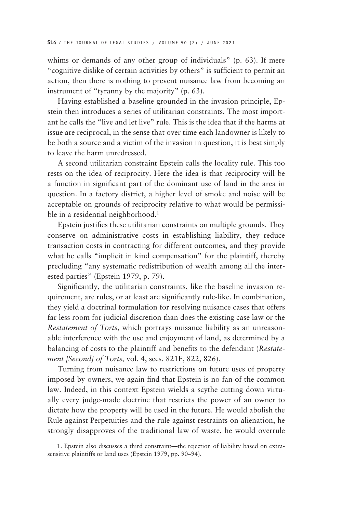whims or demands of any other group of individuals" (p. 63). If mere "cognitive dislike of certain activities by others" is sufficient to permit an action, then there is nothing to prevent nuisance law from becoming an instrument of "tyranny by the majority" (p. 63).

Having established a baseline grounded in the invasion principle, Epstein then introduces a series of utilitarian constraints. The most important he calls the "live and let live" rule. This is the idea that if the harms at issue are reciprocal, in the sense that over time each landowner is likely to be both a source and a victim of the invasion in question, it is best simply to leave the harm unredressed.

A second utilitarian constraint Epstein calls the locality rule. This too rests on the idea of reciprocity. Here the idea is that reciprocity will be a function in significant part of the dominant use of land in the area in question. In a factory district, a higher level of smoke and noise will be acceptable on grounds of reciprocity relative to what would be permissible in a residential neighborhood.<sup>1</sup>

Epstein justifies these utilitarian constraints on multiple grounds. They conserve on administrative costs in establishing liability, they reduce transaction costs in contracting for different outcomes, and they provide what he calls "implicit in kind compensation" for the plaintiff, thereby precluding "any systematic redistribution of wealth among all the interested parties" (Epstein 1979, p. 79).

Significantly, the utilitarian constraints, like the baseline invasion requirement, are rules, or at least are significantly rule-like. In combination, they yield a doctrinal formulation for resolving nuisance cases that offers far less room for judicial discretion than does the existing case law or the *Restatement of Torts*, which portrays nuisance liability as an unreasonable interference with the use and enjoyment of land, as determined by a balancing of costs to the plaintiff and benefits to the defendant (*Restatement [Second] of Torts,* vol. 4, secs. 821F, 822, 826).

Turning from nuisance law to restrictions on future uses of property imposed by owners, we again find that Epstein is no fan of the common law. Indeed, in this context Epstein wields a scythe cutting down virtually every judge-made doctrine that restricts the power of an owner to dictate how the property will be used in the future. He would abolish the Rule against Perpetuities and the rule against restraints on alienation, he strongly disapproves of the traditional law of waste, he would overrule

1. Epstein also discusses a third constraint—the rejection of liability based on extrasensitive plaintiffs or land uses (Epstein 1979, pp. 90–94).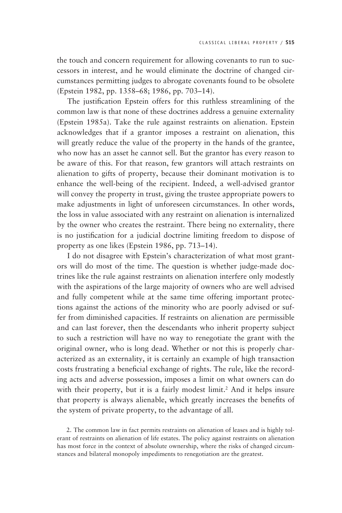the touch and concern requirement for allowing covenants to run to successors in interest, and he would eliminate the doctrine of changed circumstances permitting judges to abrogate covenants found to be obsolete (Epstein 1982, pp. 1358–68; 1986, pp. 703–14).

The justification Epstein offers for this ruthless streamlining of the common law is that none of these doctrines address a genuine externality (Epstein 1985a). Take the rule against restraints on alienation. Epstein acknowledges that if a grantor imposes a restraint on alienation, this will greatly reduce the value of the property in the hands of the grantee, who now has an asset he cannot sell. But the grantor has every reason to be aware of this. For that reason, few grantors will attach restraints on alienation to gifts of property, because their dominant motivation is to enhance the well-being of the recipient. Indeed, a well-advised grantor will convey the property in trust, giving the trustee appropriate powers to make adjustments in light of unforeseen circumstances. In other words, the loss in value associated with any restraint on alienation is internalized by the owner who creates the restraint. There being no externality, there is no justification for a judicial doctrine limiting freedom to dispose of property as one likes (Epstein 1986, pp. 713–14).

I do not disagree with Epstein's characterization of what most grantors will do most of the time. The question is whether judge-made doctrines like the rule against restraints on alienation interfere only modestly with the aspirations of the large majority of owners who are well advised and fully competent while at the same time offering important protections against the actions of the minority who are poorly advised or suffer from diminished capacities. If restraints on alienation are permissible and can last forever, then the descendants who inherit property subject to such a restriction will have no way to renegotiate the grant with the original owner, who is long dead. Whether or not this is properly characterized as an externality, it is certainly an example of high transaction costs frustrating a beneficial exchange of rights. The rule, like the recording acts and adverse possession, imposes a limit on what owners can do with their property, but it is a fairly modest limit.<sup>2</sup> And it helps insure that property is always alienable, which greatly increases the benefits of the system of private property, to the advantage of all.

2. The common law in fact permits restraints on alienation of leases and is highly tolerant of restraints on alienation of life estates. The policy against restraints on alienation has most force in the context of absolute ownership, where the risks of changed circumstances and bilateral monopoly impediments to renegotiation are the greatest.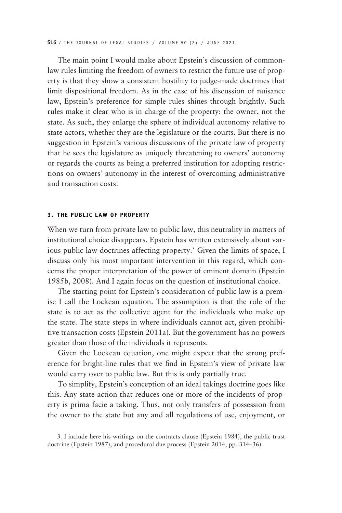The main point I would make about Epstein's discussion of commonlaw rules limiting the freedom of owners to restrict the future use of property is that they show a consistent hostility to judge-made doctrines that limit dispositional freedom. As in the case of his discussion of nuisance law, Epstein's preference for simple rules shines through brightly. Such rules make it clear who is in charge of the property: the owner, not the state. As such, they enlarge the sphere of individual autonomy relative to state actors, whether they are the legislature or the courts. But there is no suggestion in Epstein's various discussions of the private law of property that he sees the legislature as uniquely threatening to owners' autonomy or regards the courts as being a preferred institution for adopting restrictions on owners' autonomy in the interest of overcoming administrative and transaction costs.

### **3. THE PUBLIC LAW OF PROPERTY**

When we turn from private law to public law, this neutrality in matters of institutional choice disappears. Epstein has written extensively about various public law doctrines affecting property.3 Given the limits of space, I discuss only his most important intervention in this regard, which concerns the proper interpretation of the power of eminent domain (Epstein 1985b, 2008). And I again focus on the question of institutional choice.

The starting point for Epstein's consideration of public law is a premise I call the Lockean equation. The assumption is that the role of the state is to act as the collective agent for the individuals who make up the state. The state steps in where individuals cannot act, given prohibitive transaction costs (Epstein 2011a). But the government has no powers greater than those of the individuals it represents.

Given the Lockean equation, one might expect that the strong preference for bright-line rules that we find in Epstein's view of private law would carry over to public law. But this is only partially true.

To simplify, Epstein's conception of an ideal takings doctrine goes like this. Any state action that reduces one or more of the incidents of property is prima facie a taking. Thus, not only transfers of possession from the owner to the state but any and all regulations of use, enjoyment, or

<sup>3.</sup> I include here his writings on the contracts clause (Epstein 1984), the public trust doctrine (Epstein 1987), and procedural due process (Epstein 2014, pp. 314–36).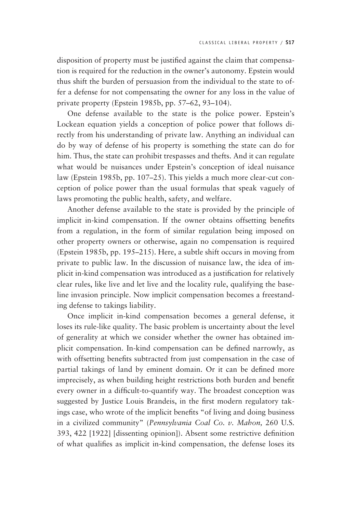disposition of property must be justified against the claim that compensation is required for the reduction in the owner's autonomy. Epstein would thus shift the burden of persuasion from the individual to the state to offer a defense for not compensating the owner for any loss in the value of private property (Epstein 1985b, pp. 57–62, 93–104).

One defense available to the state is the police power. Epstein's Lockean equation yields a conception of police power that follows directly from his understanding of private law. Anything an individual can do by way of defense of his property is something the state can do for him. Thus, the state can prohibit trespasses and thefts. And it can regulate what would be nuisances under Epstein's conception of ideal nuisance law (Epstein 1985b, pp. 107–25). This yields a much more clear-cut conception of police power than the usual formulas that speak vaguely of laws promoting the public health, safety, and welfare.

Another defense available to the state is provided by the principle of implicit in-kind compensation. If the owner obtains offsetting benefits from a regulation, in the form of similar regulation being imposed on other property owners or otherwise, again no compensation is required (Epstein 1985b, pp. 195–215). Here, a subtle shift occurs in moving from private to public law. In the discussion of nuisance law, the idea of implicit in-kind compensation was introduced as a justification for relatively clear rules, like live and let live and the locality rule, qualifying the baseline invasion principle. Now implicit compensation becomes a freestanding defense to takings liability.

Once implicit in-kind compensation becomes a general defense, it loses its rule-like quality. The basic problem is uncertainty about the level of generality at which we consider whether the owner has obtained implicit compensation. In-kind compensation can be defined narrowly, as with offsetting benefits subtracted from just compensation in the case of partial takings of land by eminent domain. Or it can be defined more imprecisely, as when building height restrictions both burden and benefit every owner in a difficult-to-quantify way. The broadest conception was suggested by Justice Louis Brandeis, in the first modern regulatory takings case, who wrote of the implicit benefits "of living and doing business in a civilized community" (*Pennsylvania Coal Co. v. Mahon,* 260 U.S. 393, 422 [1922] [dissenting opinion]). Absent some restrictive definition of what qualifies as implicit in-kind compensation, the defense loses its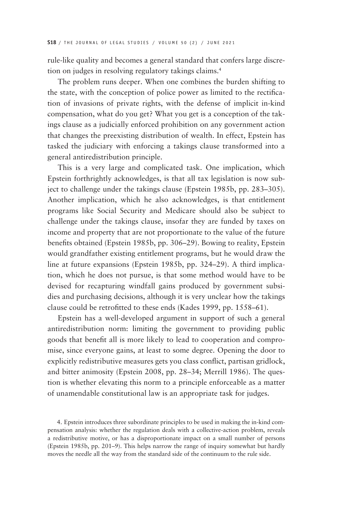rule-like quality and becomes a general standard that confers large discretion on judges in resolving regulatory takings claims.4

The problem runs deeper. When one combines the burden shifting to the state, with the conception of police power as limited to the rectification of invasions of private rights, with the defense of implicit in-kind compensation, what do you get? What you get is a conception of the takings clause as a judicially enforced prohibition on any government action that changes the preexisting distribution of wealth. In effect, Epstein has tasked the judiciary with enforcing a takings clause transformed into a general antiredistribution principle.

This is a very large and complicated task. One implication, which Epstein forthrightly acknowledges, is that all tax legislation is now subject to challenge under the takings clause (Epstein 1985b, pp. 283–305). Another implication, which he also acknowledges, is that entitlement programs like Social Security and Medicare should also be subject to challenge under the takings clause, insofar they are funded by taxes on income and property that are not proportionate to the value of the future benefits obtained (Epstein 1985b, pp. 306–29). Bowing to reality, Epstein would grandfather existing entitlement programs, but he would draw the line at future expansions (Epstein 1985b, pp. 324–29). A third implication, which he does not pursue, is that some method would have to be devised for recapturing windfall gains produced by government subsidies and purchasing decisions, although it is very unclear how the takings clause could be retrofitted to these ends (Kades 1999, pp. 1558–61).

Epstein has a well-developed argument in support of such a general antiredistribution norm: limiting the government to providing public goods that benefit all is more likely to lead to cooperation and compromise, since everyone gains, at least to some degree. Opening the door to explicitly redistributive measures gets you class conflict, partisan gridlock, and bitter animosity (Epstein 2008, pp. 28–34; Merrill 1986). The question is whether elevating this norm to a principle enforceable as a matter of unamendable constitutional law is an appropriate task for judges.

4. Epstein introduces three subordinate principles to be used in making the in-kind compensation analysis: whether the regulation deals with a collective-action problem, reveals a redistributive motive, or has a disproportionate impact on a small number of persons (Epstein 1985b, pp. 201–9). This helps narrow the range of inquiry somewhat but hardly moves the needle all the way from the standard side of the continuum to the rule side.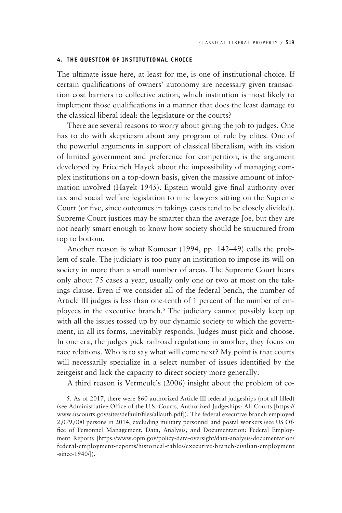### **4. THE QUESTION OF INSTITUTIONAL CHOICE**

The ultimate issue here, at least for me, is one of institutional choice. If certain qualifications of owners' autonomy are necessary given transaction cost barriers to collective action, which institution is most likely to implement those qualifications in a manner that does the least damage to the classical liberal ideal: the legislature or the courts?

There are several reasons to worry about giving the job to judges. One has to do with skepticism about any program of rule by elites. One of the powerful arguments in support of classical liberalism, with its vision of limited government and preference for competition, is the argument developed by Friedrich Hayek about the impossibility of managing complex institutions on a top-down basis, given the massive amount of information involved (Hayek 1945). Epstein would give final authority over tax and social welfare legislation to nine lawyers sitting on the Supreme Court (or five, since outcomes in takings cases tend to be closely divided). Supreme Court justices may be smarter than the average Joe, but they are not nearly smart enough to know how society should be structured from top to bottom.

Another reason is what Komesar (1994, pp. 142–49) calls the problem of scale. The judiciary is too puny an institution to impose its will on society in more than a small number of areas. The Supreme Court hears only about 75 cases a year, usually only one or two at most on the takings clause. Even if we consider all of the federal bench, the number of Article III judges is less than one-tenth of 1 percent of the number of employees in the executive branch.5 The judiciary cannot possibly keep up with all the issues tossed up by our dynamic society to which the government, in all its forms, inevitably responds. Judges must pick and choose. In one era, the judges pick railroad regulation; in another, they focus on race relations. Who is to say what will come next? My point is that courts will necessarily specialize in a select number of issues identified by the zeitgeist and lack the capacity to direct society more generally.

A third reason is Vermeule's (2006) insight about the problem of co-

5. As of 2017, there were 860 authorized Article III federal judgeships (not all filled) (see Administrative Office of the U.S. Courts, Authorized Judgeships: All Courts [https:// www.uscourts.gov/sites/default/files/allauth.pdf]). The federal executive branch employed 2,079,000 persons in 2014, excluding military personnel and postal workers (see US Office of Personnel Management, Data, Analysis, and Documentation: Federal Employment Reports [https://www.opm.gov/policy-data-oversight/data-analysis-documentation/ federal-employment-reports/historical-tables/executive-branch-civilian-employment -since-1940/]).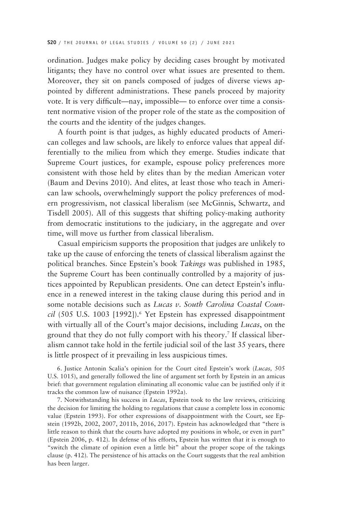ordination. Judges make policy by deciding cases brought by motivated litigants; they have no control over what issues are presented to them. Moreover, they sit on panels composed of judges of diverse views appointed by different administrations. These panels proceed by majority vote. It is very difficult—nay, impossible— to enforce over time a consistent normative vision of the proper role of the state as the composition of the courts and the identity of the judges changes.

A fourth point is that judges, as highly educated products of American colleges and law schools, are likely to enforce values that appeal differentially to the milieu from which they emerge. Studies indicate that Supreme Court justices, for example, espouse policy preferences more consistent with those held by elites than by the median American voter (Baum and Devins 2010). And elites, at least those who teach in American law schools, overwhelmingly support the policy preferences of modern progressivism, not classical liberalism (see McGinnis, Schwartz, and Tisdell 2005). All of this suggests that shifting policy-making authority from democratic institutions to the judiciary, in the aggregate and over time, will move us further from classical liberalism.

Casual empiricism supports the proposition that judges are unlikely to take up the cause of enforcing the tenets of classical liberalism against the political branches. Since Epstein's book *Takings* was published in 1985, the Supreme Court has been continually controlled by a majority of justices appointed by Republican presidents. One can detect Epstein's influence in a renewed interest in the taking clause during this period and in some notable decisions such as *Lucas v. South Carolina Coastal Coun*cil (505 U.S. 1003 [1992]).<sup>6</sup> Yet Epstein has expressed disappointment with virtually all of the Court's major decisions, including *Lucas*, on the ground that they do not fully comport with his theory.7 If classical liberalism cannot take hold in the fertile judicial soil of the last 35 years, there is little prospect of it prevailing in less auspicious times.

6. Justice Antonin Scalia's opinion for the Court cited Epstein's work (*Lucas,* 505 U.S. 1015), and generally followed the line of argument set forth by Epstein in an amicus brief: that government regulation eliminating all economic value can be justified only if it tracks the common law of nuisance (Epstein 1992a).

7. Notwithstanding his success in *Lucas*, Epstein took to the law reviews, criticizing the decision for limiting the holding to regulations that cause a complete loss in economic value (Epstein 1993). For other expressions of disappointment with the Court, see Epstein (1992b, 2002, 2007, 2011b, 2016, 2017). Epstein has acknowledged that "there is little reason to think that the courts have adopted my positions in whole, or even in part" (Epstein 2006, p. 412). In defense of his efforts, Epstein has written that it is enough to "switch the climate of opinion even a little bit" about the proper scope of the takings clause (p. 412)*.* The persistence of his attacks on the Court suggests that the real ambition has been larger.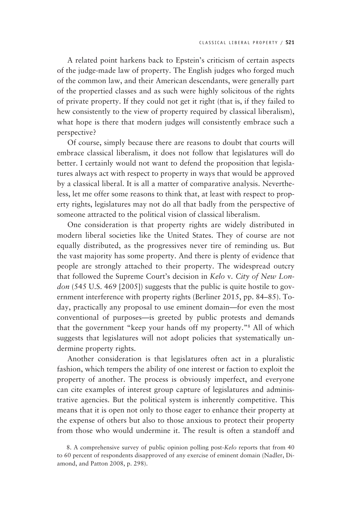A related point harkens back to Epstein's criticism of certain aspects of the judge-made law of property. The English judges who forged much of the common law, and their American descendants, were generally part of the propertied classes and as such were highly solicitous of the rights of private property. If they could not get it right (that is, if they failed to hew consistently to the view of property required by classical liberalism), what hope is there that modern judges will consistently embrace such a perspective?

Of course, simply because there are reasons to doubt that courts will embrace classical liberalism, it does not follow that legislatures will do better. I certainly would not want to defend the proposition that legislatures always act with respect to property in ways that would be approved by a classical liberal. It is all a matter of comparative analysis. Nevertheless, let me offer some reasons to think that, at least with respect to property rights, legislatures may not do all that badly from the perspective of someone attracted to the political vision of classical liberalism.

One consideration is that property rights are widely distributed in modern liberal societies like the United States. They of course are not equally distributed, as the progressives never tire of reminding us. But the vast majority has some property. And there is plenty of evidence that people are strongly attached to their property. The widespread outcry that followed the Supreme Court's decision in *Kelo* v*. City of New London* (545 U.S. 469 [2005]) suggests that the public is quite hostile to government interference with property rights (Berliner 2015, pp. 84–85). Today, practically any proposal to use eminent domain—for even the most conventional of purposes—is greeted by public protests and demands that the government "keep your hands off my property."8 All of which suggests that legislatures will not adopt policies that systematically undermine property rights.

Another consideration is that legislatures often act in a pluralistic fashion, which tempers the ability of one interest or faction to exploit the property of another. The process is obviously imperfect, and everyone can cite examples of interest group capture of legislatures and administrative agencies. But the political system is inherently competitive. This means that it is open not only to those eager to enhance their property at the expense of others but also to those anxious to protect their property from those who would undermine it. The result is often a standoff and

<sup>8.</sup> A comprehensive survey of public opinion polling post-*Kelo* reports that from 40 to 60 percent of respondents disapproved of any exercise of eminent domain (Nadler, Diamond, and Patton 2008, p. 298).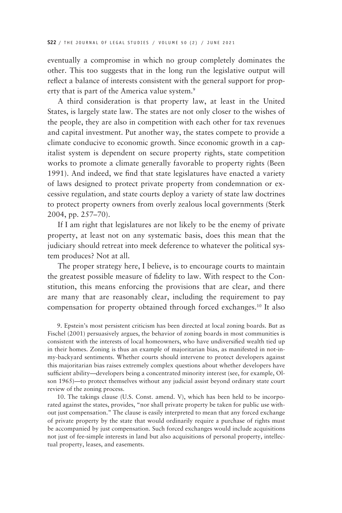eventually a compromise in which no group completely dominates the other. This too suggests that in the long run the legislative output will reflect a balance of interests consistent with the general support for property that is part of the America value system.<sup>9</sup>

A third consideration is that property law, at least in the United States, is largely state law. The states are not only closer to the wishes of the people, they are also in competition with each other for tax revenues and capital investment. Put another way, the states compete to provide a climate conducive to economic growth. Since economic growth in a capitalist system is dependent on secure property rights, state competition works to promote a climate generally favorable to property rights (Been 1991). And indeed, we find that state legislatures have enacted a variety of laws designed to protect private property from condemnation or excessive regulation, and state courts deploy a variety of state law doctrines to protect property owners from overly zealous local governments (Sterk 2004, pp. 257–70).

If I am right that legislatures are not likely to be the enemy of private property, at least not on any systematic basis, does this mean that the judiciary should retreat into meek deference to whatever the political system produces? Not at all.

The proper strategy here, I believe, is to encourage courts to maintain the greatest possible measure of fidelity to law. With respect to the Constitution, this means enforcing the provisions that are clear, and there are many that are reasonably clear, including the requirement to pay compensation for property obtained through forced exchanges.10 It also

9. Epstein's most persistent criticism has been directed at local zoning boards. But as Fischel (2001) persuasively argues, the behavior of zoning boards in most communities is consistent with the interests of local homeowners, who have undiversified wealth tied up in their homes. Zoning is thus an example of majoritarian bias, as manifested in not-inmy-backyard sentiments. Whether courts should intervene to protect developers against this majoritarian bias raises extremely complex questions about whether developers have sufficient ability—developers being a concentrated minority interest (see, for example, Olson 1965)—to protect themselves without any judicial assist beyond ordinary state court review of the zoning process.

10. The takings clause (U.S. Const. amend. V), which has been held to be incorporated against the states, provides, "nor shall private property be taken for public use without just compensation." The clause is easily interpreted to mean that any forced exchange of private property by the state that would ordinarily require a purchase of rights must be accompanied by just compensation. Such forced exchanges would include acquisitions not just of fee-simple interests in land but also acquisitions of personal property, intellectual property, leases, and easements.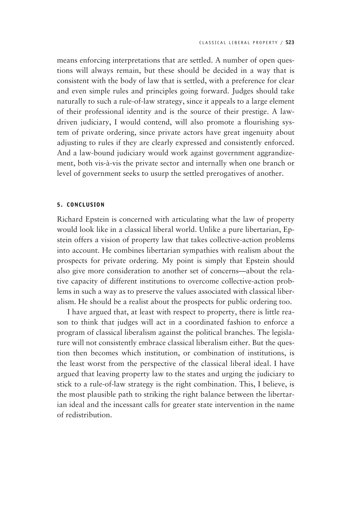means enforcing interpretations that are settled. A number of open questions will always remain, but these should be decided in a way that is consistent with the body of law that is settled, with a preference for clear and even simple rules and principles going forward. Judges should take naturally to such a rule-of-law strategy, since it appeals to a large element of their professional identity and is the source of their prestige. A lawdriven judiciary, I would contend, will also promote a flourishing system of private ordering, since private actors have great ingenuity about adjusting to rules if they are clearly expressed and consistently enforced. And a law-bound judiciary would work against government aggrandizement, both vis-à-vis the private sector and internally when one branch or level of government seeks to usurp the settled prerogatives of another.

## **5. CONCLUSION**

Richard Epstein is concerned with articulating what the law of property would look like in a classical liberal world. Unlike a pure libertarian, Epstein offers a vision of property law that takes collective-action problems into account. He combines libertarian sympathies with realism about the prospects for private ordering. My point is simply that Epstein should also give more consideration to another set of concerns—about the relative capacity of different institutions to overcome collective-action problems in such a way as to preserve the values associated with classical liberalism. He should be a realist about the prospects for public ordering too.

I have argued that, at least with respect to property, there is little reason to think that judges will act in a coordinated fashion to enforce a program of classical liberalism against the political branches. The legislature will not consistently embrace classical liberalism either. But the question then becomes which institution, or combination of institutions, is the least worst from the perspective of the classical liberal ideal. I have argued that leaving property law to the states and urging the judiciary to stick to a rule-of-law strategy is the right combination. This, I believe, is the most plausible path to striking the right balance between the libertarian ideal and the incessant calls for greater state intervention in the name of redistribution.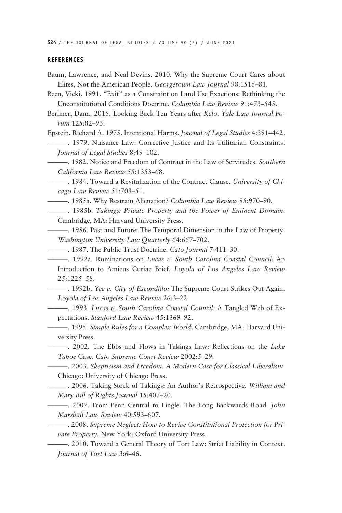**S24** / THE JOURNAL OF LEGAL STUDIES / VOLUME 50 (2) / JUNE 2021

#### **REFERENCES**

- Baum, Lawrence, and Neal Devins. 2010. Why the Supreme Court Cares about Elites, Not the American People. *Georgetown Law Journal* 98:1515–81.
- Been, Vicki. 1991. *"*Exit" as a Constraint on Land Use Exactions: Rethinking the Unconstitutional Conditions Doctrine. *Columbia Law Review* 91:473–545.
- Berliner, Dana. 2015. Looking Back Ten Years after *Kelo*. *Yale Law Journal Forum* 125:82–93.

Epstein, Richard A. 1975. Intentional Harms. *Journal of Legal Studies* 4:391–442.

———. 1979. Nuisance Law: Corrective Justice and Its Utilitarian Constraints. *Journal of Legal Studies* 8:49–102.

———. 1982. Notice and Freedom of Contract in the Law of Servitudes. *Southern California Law Review* 55:1353–68.

———. 1984. Toward a Revitalization of the Contract Clause. *University of Chicago Law Review* 51:703–51.

———. 1985a. Why Restrain Alienation? *Columbia Law Review* 85:970–90.

———. 1985b. *Takings: Private Property and the Power of Eminent Domain.*  Cambridge, MA: Harvard University Press.

———. 1986. Past and Future: The Temporal Dimension in the Law of Property. *Washington University Law Quarterly* 64:667–702.

———. 1987. The Public Trust Doctrine. *Cato Journal* 7:411–30.

———. 1992a. Ruminations on *Lucas v. South Carolina Coastal Council:* An Introduction to Amicus Curiae Brief. *Loyola of Los Angeles Law Review* 25:1225–58.

———. 1992b. *Yee v. City of Escondido:* The Supreme Court Strikes Out Again. *Loyola of Los Angeles Law Review* 26:3–22.

———. 1993. *Lucas v. South Carolina Coastal Council:* A Tangled Web of Expectations. *Stanford Law Review* 45:1369–92.

- ———. 1995. *Simple Rules for a Complex World*. Cambridge, MA: Harvard University Press.
- ———. 2002**.** The Ebbs and Flows in Takings Law: Reflections on the *Lake Tahoe* Case. *Cato Supreme Court Review* 2002:5–29.

———. 2003. *Skepticism and Freedom: A Modern Case for Classical Liberalism.*  Chicago: University of Chicago Press.

———. 2006. Taking Stock of Takings: An Author's Retrospective. *William and Mary Bill of Rights Journal* 15:407–20.

———. 2007. From Penn Central to Lingle: The Long Backwards Road. *John Marshall Law Review* 40:593–607.

———. 2008. *Supreme Neglect: How to Revive Constitutional Protection for Private Property.* New York: Oxford University Press.

———. 2010. Toward a General Theory of Tort Law: Strict Liability in Context. *Journal of Tort Law* 3:6–46.